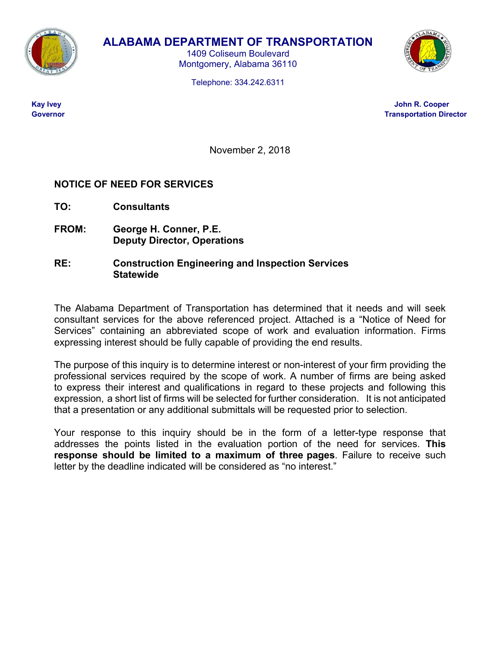

# **ALABAMA DEPARTMENT OF TRANSPORTATION**

1409 Coliseum Boulevard Montgomery, Alabama 36110

Telephone: 334.242.6311



 **Kay Ivey John R. Cooper Covernor Contract Contract Contract Contract Contract Contract Contract Contract Contract Contract Contract Contract Contract Contract Contract Contract Contract Contract Contract Contract Contract Contract Contract Contr** 

November 2, 2018

# **NOTICE OF NEED FOR SERVICES**

**TO: Consultants** 

**FROM: George H. Conner, P.E. Deputy Director, Operations** 

# **RE: Construction Engineering and Inspection Services Statewide**

The Alabama Department of Transportation has determined that it needs and will seek consultant services for the above referenced project. Attached is a "Notice of Need for Services" containing an abbreviated scope of work and evaluation information. Firms expressing interest should be fully capable of providing the end results.

The purpose of this inquiry is to determine interest or non-interest of your firm providing the professional services required by the scope of work. A number of firms are being asked to express their interest and qualifications in regard to these projects and following this expression, a short list of firms will be selected for further consideration. It is not anticipated that a presentation or any additional submittals will be requested prior to selection.

Your response to this inquiry should be in the form of a letter-type response that addresses the points listed in the evaluation portion of the need for services. **This response should be limited to a maximum of three pages**. Failure to receive such letter by the deadline indicated will be considered as "no interest."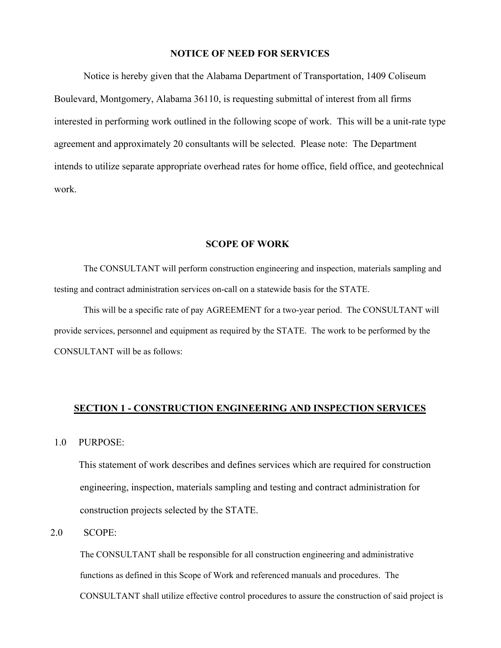# **NOTICE OF NEED FOR SERVICES**

Notice is hereby given that the Alabama Department of Transportation, 1409 Coliseum Boulevard, Montgomery, Alabama 36110, is requesting submittal of interest from all firms interested in performing work outlined in the following scope of work. This will be a unit-rate type agreement and approximately 20 consultants will be selected. Please note: The Department intends to utilize separate appropriate overhead rates for home office, field office, and geotechnical work.

#### **SCOPE OF WORK**

The CONSULTANT will perform construction engineering and inspection, materials sampling and testing and contract administration services on-call on a statewide basis for the STATE.

This will be a specific rate of pay AGREEMENT for a two-year period. The CONSULTANT will provide services, personnel and equipment as required by the STATE. The work to be performed by the CONSULTANT will be as follows:

#### **SECTION 1 - CONSTRUCTION ENGINEERING AND INSPECTION SERVICES**

1.0 PURPOSE:

This statement of work describes and defines services which are required for construction engineering, inspection, materials sampling and testing and contract administration for construction projects selected by the STATE.

# 2.0 SCOPE:

The CONSULTANT shall be responsible for all construction engineering and administrative functions as defined in this Scope of Work and referenced manuals and procedures. The CONSULTANT shall utilize effective control procedures to assure the construction of said project is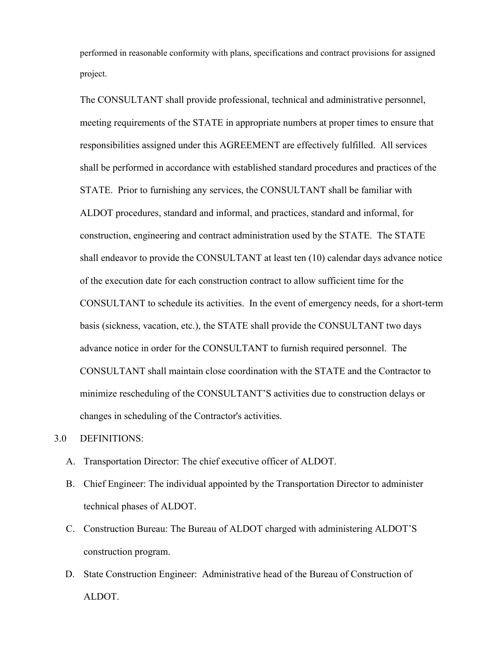performed in reasonable conformity with plans, specifications and contract provisions for assigned project.

The CONSULTANT shall provide professional, technical and administrative personnel, meeting requirements of the STATE in appropriate numbers at proper times to ensure that responsibilities assigned under this AGREEMENT are effectively fulfilled. All services shall be performed in accordance with established standard procedures and practices of the STATE. Prior to furnishing any services, the CONSULTANT shall be familiar with ALDOT procedures, standard and informal, and practices, standard and informal, for construction, engineering and contract administration used by the STATE. The STATE shall endeavor to provide the CONSULTANT at least ten (10) calendar days advance notice of the execution date for each construction contract to allow sufficient time for the CONSULTANT to schedule its activities. In the event of emergency needs, for a short-term basis (sickness, vacation, etc.), the STATE shall provide the CONSULTANT two days advance notice in order for the CONSULTANT to furnish required personnel. The CONSULTANT shall maintain close coordination with the STATE and the Contractor to minimize rescheduling of the CONSULTANT'S activities due to construction delays or changes in scheduling of the Contractor's activities.

3.0 DEFINITIONS:

- A. Transportation Director: The chief executive officer of ALDOT.
- B. Chief Engineer: The individual appointed by the Transportation Director to administer technical phases of ALDOT.
- C. Construction Bureau: The Bureau of ALDOT charged with administering ALDOT'S construction program.
- D. State Construction Engineer: Administrative head of the Bureau of Construction of ALDOT.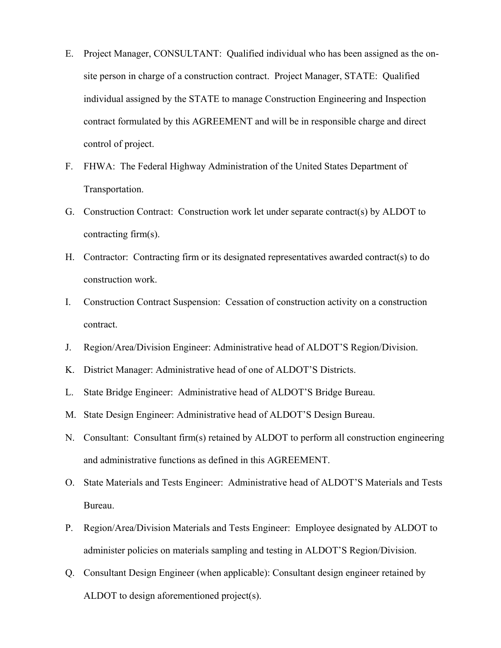- E. Project Manager, CONSULTANT: Qualified individual who has been assigned as the onsite person in charge of a construction contract. Project Manager, STATE: Qualified individual assigned by the STATE to manage Construction Engineering and Inspection contract formulated by this AGREEMENT and will be in responsible charge and direct control of project.
- F. FHWA: The Federal Highway Administration of the United States Department of Transportation.
- G. Construction Contract: Construction work let under separate contract(s) by ALDOT to contracting firm(s).
- H. Contractor: Contracting firm or its designated representatives awarded contract(s) to do construction work.
- I. Construction Contract Suspension: Cessation of construction activity on a construction contract.
- J. Region/Area/Division Engineer: Administrative head of ALDOT'S Region/Division.
- K. District Manager: Administrative head of one of ALDOT'S Districts.
- L. State Bridge Engineer: Administrative head of ALDOT'S Bridge Bureau.
- M. State Design Engineer: Administrative head of ALDOT'S Design Bureau.
- N. Consultant: Consultant firm(s) retained by ALDOT to perform all construction engineering and administrative functions as defined in this AGREEMENT.
- O. State Materials and Tests Engineer: Administrative head of ALDOT'S Materials and Tests Bureau.
- P. Region/Area/Division Materials and Tests Engineer: Employee designated by ALDOT to administer policies on materials sampling and testing in ALDOT'S Region/Division.
- Q. Consultant Design Engineer (when applicable): Consultant design engineer retained by ALDOT to design aforementioned project(s).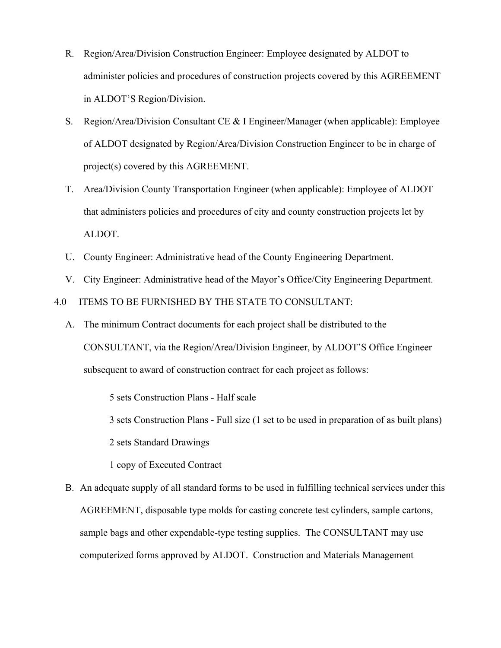- R. Region/Area/Division Construction Engineer: Employee designated by ALDOT to administer policies and procedures of construction projects covered by this AGREEMENT in ALDOT'S Region/Division.
- S. Region/Area/Division Consultant CE & I Engineer/Manager (when applicable): Employee of ALDOT designated by Region/Area/Division Construction Engineer to be in charge of project(s) covered by this AGREEMENT.
- T. Area/Division County Transportation Engineer (when applicable): Employee of ALDOT that administers policies and procedures of city and county construction projects let by ALDOT.
- U. County Engineer: Administrative head of the County Engineering Department.
- V. City Engineer: Administrative head of the Mayor's Office/City Engineering Department.

4.0 ITEMS TO BE FURNISHED BY THE STATE TO CONSULTANT:

A. The minimum Contract documents for each project shall be distributed to the CONSULTANT, via the Region/Area/Division Engineer, by ALDOT'S Office Engineer subsequent to award of construction contract for each project as follows:

5 sets Construction Plans - Half scale

3 sets Construction Plans - Full size (1 set to be used in preparation of as built plans)

2 sets Standard Drawings

1 copy of Executed Contract

B. An adequate supply of all standard forms to be used in fulfilling technical services under this AGREEMENT, disposable type molds for casting concrete test cylinders, sample cartons, sample bags and other expendable-type testing supplies. The CONSULTANT may use computerized forms approved by ALDOT. Construction and Materials Management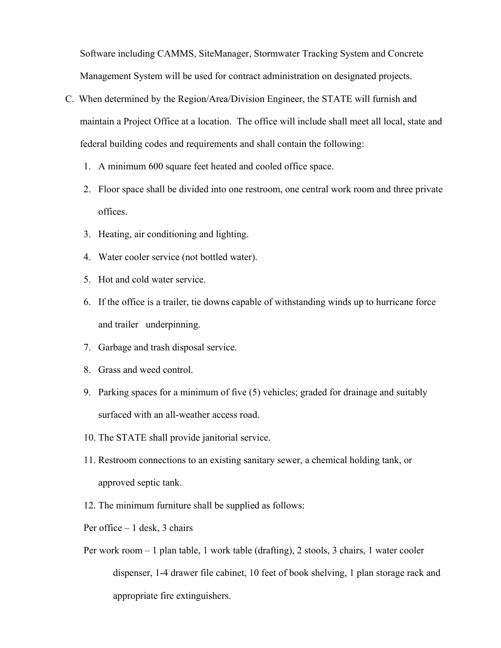Software including CAMMS, SiteManager, Stormwater Tracking System and Concrete Management System will be used for contract administration on designated projects.

- C. When determined by the Region/Area/Division Engineer, the STATE will furnish and maintain a Project Office at a location. The office will include shall meet all local, state and federal building codes and requirements and shall contain the following:
	- 1. A minimum 600 square feet heated and cooled office space.
	- 2. Floor space shall be divided into one restroom, one central work room and three private offices.
	- 3. Heating, air conditioning and lighting.
	- 4. Water cooler service (not bottled water).
	- 5. Hot and cold water service.
	- 6. If the office is a trailer, tie downs capable of withstanding winds up to hurricane force and trailer underpinning.
	- 7. Garbage and trash disposal service.
	- 8. Grass and weed control.
	- 9. Parking spaces for a minimum of five (5) vehicles; graded for drainage and suitably surfaced with an all-weather access road.
	- 10. The STATE shall provide janitorial service.
	- 11. Restroom connections to an existing sanitary sewer, a chemical holding tank, or approved septic tank.
	- 12. The minimum furniture shall be supplied as follows:
	- Per office 1 desk, 3 chairs
	- Per work room 1 plan table, 1 work table (drafting), 2 stools, 3 chairs, 1 water cooler dispenser, 1-4 drawer file cabinet, 10 feet of book shelving, 1 plan storage rack and appropriate fire extinguishers.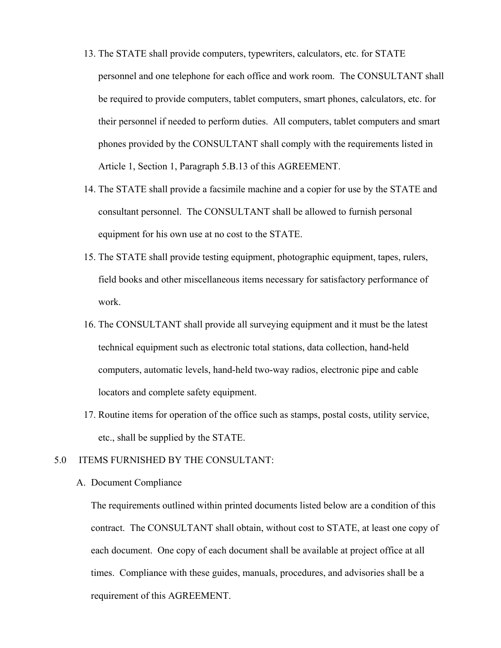- 13. The STATE shall provide computers, typewriters, calculators, etc. for STATE personnel and one telephone for each office and work room. The CONSULTANT shall be required to provide computers, tablet computers, smart phones, calculators, etc. for their personnel if needed to perform duties. All computers, tablet computers and smart phones provided by the CONSULTANT shall comply with the requirements listed in Article 1, Section 1, Paragraph 5.B.13 of this AGREEMENT.
- 14. The STATE shall provide a facsimile machine and a copier for use by the STATE and consultant personnel. The CONSULTANT shall be allowed to furnish personal equipment for his own use at no cost to the STATE.
- 15. The STATE shall provide testing equipment, photographic equipment, tapes, rulers, field books and other miscellaneous items necessary for satisfactory performance of work.
- 16. The CONSULTANT shall provide all surveying equipment and it must be the latest technical equipment such as electronic total stations, data collection, hand-held computers, automatic levels, hand-held two-way radios, electronic pipe and cable locators and complete safety equipment.
- 17. Routine items for operation of the office such as stamps, postal costs, utility service, etc., shall be supplied by the STATE.

#### 5.0 ITEMS FURNISHED BY THE CONSULTANT:

#### A. Document Compliance

 The requirements outlined within printed documents listed below are a condition of this contract. The CONSULTANT shall obtain, without cost to STATE, at least one copy of each document. One copy of each document shall be available at project office at all times. Compliance with these guides, manuals, procedures, and advisories shall be a requirement of this AGREEMENT.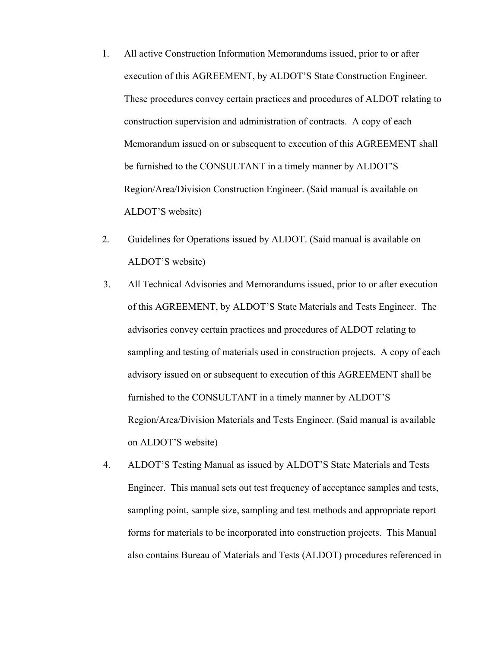- 1. All active Construction Information Memorandums issued, prior to or after execution of this AGREEMENT, by ALDOT'S State Construction Engineer. These procedures convey certain practices and procedures of ALDOT relating to construction supervision and administration of contracts. A copy of each Memorandum issued on or subsequent to execution of this AGREEMENT shall be furnished to the CONSULTANT in a timely manner by ALDOT'S Region/Area/Division Construction Engineer. (Said manual is available on ALDOT'S website)
- 2. Guidelines for Operations issued by ALDOT. (Said manual is available on ALDOT'S website)
- 3. All Technical Advisories and Memorandums issued, prior to or after execution of this AGREEMENT, by ALDOT'S State Materials and Tests Engineer. The advisories convey certain practices and procedures of ALDOT relating to sampling and testing of materials used in construction projects. A copy of each advisory issued on or subsequent to execution of this AGREEMENT shall be furnished to the CONSULTANT in a timely manner by ALDOT'S Region/Area/Division Materials and Tests Engineer. (Said manual is available on ALDOT'S website)
- 4. ALDOT'S Testing Manual as issued by ALDOT'S State Materials and Tests Engineer. This manual sets out test frequency of acceptance samples and tests, sampling point, sample size, sampling and test methods and appropriate report forms for materials to be incorporated into construction projects. This Manual also contains Bureau of Materials and Tests (ALDOT) procedures referenced in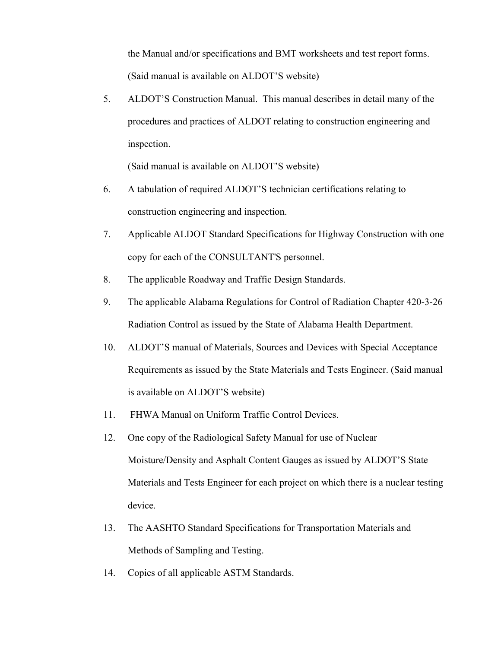the Manual and/or specifications and BMT worksheets and test report forms. (Said manual is available on ALDOT'S website)

5. ALDOT'S Construction Manual. This manual describes in detail many of the procedures and practices of ALDOT relating to construction engineering and inspection.

(Said manual is available on ALDOT'S website)

- 6. A tabulation of required ALDOT'S technician certifications relating to construction engineering and inspection.
- 7. Applicable ALDOT Standard Specifications for Highway Construction with one copy for each of the CONSULTANT'S personnel.
- 8. The applicable Roadway and Traffic Design Standards.
- 9. The applicable Alabama Regulations for Control of Radiation Chapter 420-3-26 Radiation Control as issued by the State of Alabama Health Department.
- 10. ALDOT'S manual of Materials, Sources and Devices with Special Acceptance Requirements as issued by the State Materials and Tests Engineer. (Said manual is available on ALDOT'S website)
- 11. FHWA Manual on Uniform Traffic Control Devices.
- 12. One copy of the Radiological Safety Manual for use of Nuclear Moisture/Density and Asphalt Content Gauges as issued by ALDOT'S State Materials and Tests Engineer for each project on which there is a nuclear testing device.
- 13. The AASHTO Standard Specifications for Transportation Materials and Methods of Sampling and Testing.
- 14. Copies of all applicable ASTM Standards.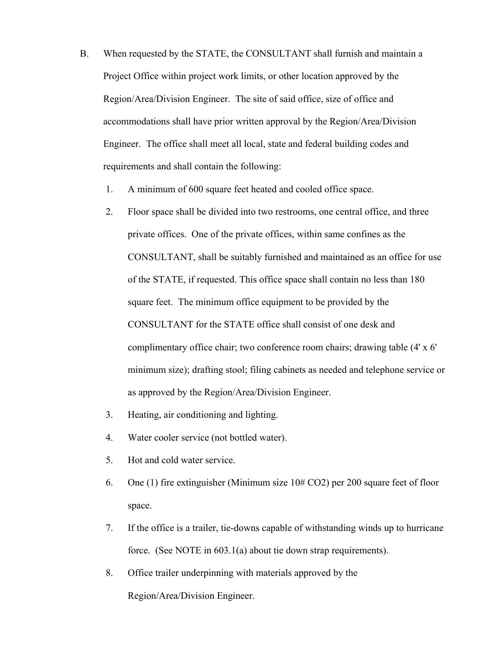- B. When requested by the STATE, the CONSULTANT shall furnish and maintain a Project Office within project work limits, or other location approved by the Region/Area/Division Engineer. The site of said office, size of office and accommodations shall have prior written approval by the Region/Area/Division Engineer. The office shall meet all local, state and federal building codes and requirements and shall contain the following:
	- 1. A minimum of 600 square feet heated and cooled office space.
	- 2. Floor space shall be divided into two restrooms, one central office, and three private offices. One of the private offices, within same confines as the CONSULTANT, shall be suitably furnished and maintained as an office for use of the STATE, if requested. This office space shall contain no less than 180 square feet. The minimum office equipment to be provided by the CONSULTANT for the STATE office shall consist of one desk and complimentary office chair; two conference room chairs; drawing table (4' x 6' minimum size); drafting stool; filing cabinets as needed and telephone service or as approved by the Region/Area/Division Engineer.
	- 3. Heating, air conditioning and lighting.
	- 4. Water cooler service (not bottled water).
	- 5. Hot and cold water service.
	- 6. One (1) fire extinguisher (Minimum size 10# CO2) per 200 square feet of floor space.
	- 7. If the office is a trailer, tie-downs capable of withstanding winds up to hurricane force. (See NOTE in 603.1(a) about tie down strap requirements).
	- 8. Office trailer underpinning with materials approved by the Region/Area/Division Engineer.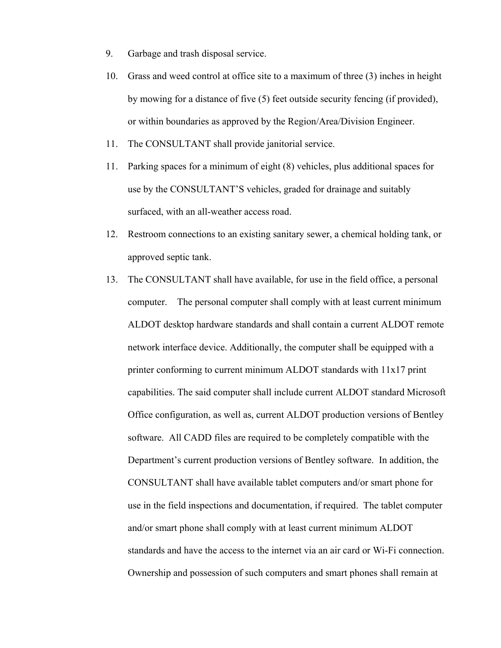- 9. Garbage and trash disposal service.
- 10. Grass and weed control at office site to a maximum of three (3) inches in height by mowing for a distance of five (5) feet outside security fencing (if provided), or within boundaries as approved by the Region/Area/Division Engineer.
- 11. The CONSULTANT shall provide janitorial service.
- 11. Parking spaces for a minimum of eight (8) vehicles, plus additional spaces for use by the CONSULTANT'S vehicles, graded for drainage and suitably surfaced, with an all-weather access road.
- 12. Restroom connections to an existing sanitary sewer, a chemical holding tank, or approved septic tank.
- 13. The CONSULTANT shall have available, for use in the field office, a personal computer. The personal computer shall comply with at least current minimum ALDOT desktop hardware standards and shall contain a current ALDOT remote network interface device. Additionally, the computer shall be equipped with a printer conforming to current minimum ALDOT standards with 11x17 print capabilities. The said computer shall include current ALDOT standard Microsoft Office configuration, as well as, current ALDOT production versions of Bentley software. All CADD files are required to be completely compatible with the Department's current production versions of Bentley software. In addition, the CONSULTANT shall have available tablet computers and/or smart phone for use in the field inspections and documentation, if required. The tablet computer and/or smart phone shall comply with at least current minimum ALDOT standards and have the access to the internet via an air card or Wi-Fi connection. Ownership and possession of such computers and smart phones shall remain at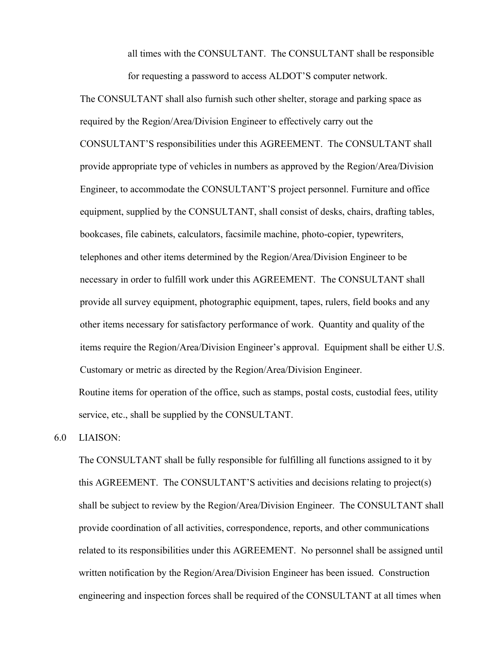all times with the CONSULTANT. The CONSULTANT shall be responsible for requesting a password to access ALDOT'S computer network.

 The CONSULTANT shall also furnish such other shelter, storage and parking space as required by the Region/Area/Division Engineer to effectively carry out the CONSULTANT'S responsibilities under this AGREEMENT. The CONSULTANT shall provide appropriate type of vehicles in numbers as approved by the Region/Area/Division Engineer, to accommodate the CONSULTANT'S project personnel. Furniture and office equipment, supplied by the CONSULTANT, shall consist of desks, chairs, drafting tables, bookcases, file cabinets, calculators, facsimile machine, photo-copier, typewriters, telephones and other items determined by the Region/Area/Division Engineer to be necessary in order to fulfill work under this AGREEMENT. The CONSULTANT shall provide all survey equipment, photographic equipment, tapes, rulers, field books and any other items necessary for satisfactory performance of work. Quantity and quality of the items require the Region/Area/Division Engineer's approval. Equipment shall be either U.S. Customary or metric as directed by the Region/Area/Division Engineer. Routine items for operation of the office, such as stamps, postal costs, custodial fees, utility

service, etc., shall be supplied by the CONSULTANT.

6.0 LIAISON:

The CONSULTANT shall be fully responsible for fulfilling all functions assigned to it by this AGREEMENT. The CONSULTANT'S activities and decisions relating to project(s) shall be subject to review by the Region/Area/Division Engineer. The CONSULTANT shall provide coordination of all activities, correspondence, reports, and other communications related to its responsibilities under this AGREEMENT. No personnel shall be assigned until written notification by the Region/Area/Division Engineer has been issued. Construction engineering and inspection forces shall be required of the CONSULTANT at all times when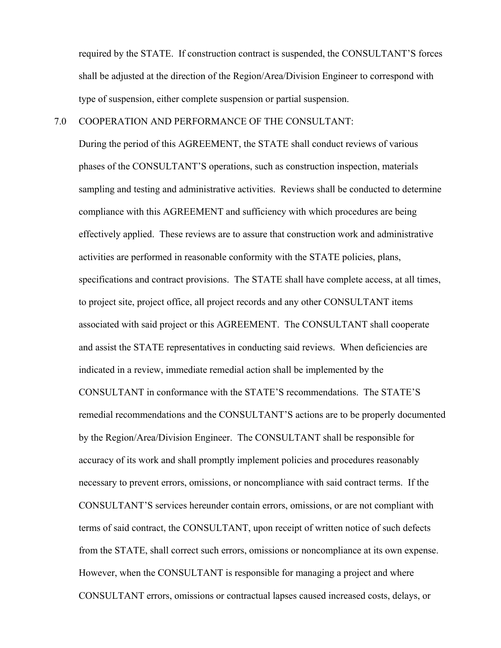required by the STATE. If construction contract is suspended, the CONSULTANT'S forces shall be adjusted at the direction of the Region/Area/Division Engineer to correspond with type of suspension, either complete suspension or partial suspension.

# 7.0 COOPERATION AND PERFORMANCE OF THE CONSULTANT:

During the period of this AGREEMENT, the STATE shall conduct reviews of various phases of the CONSULTANT'S operations, such as construction inspection, materials sampling and testing and administrative activities. Reviews shall be conducted to determine compliance with this AGREEMENT and sufficiency with which procedures are being effectively applied. These reviews are to assure that construction work and administrative activities are performed in reasonable conformity with the STATE policies, plans, specifications and contract provisions. The STATE shall have complete access, at all times, to project site, project office, all project records and any other CONSULTANT items associated with said project or this AGREEMENT. The CONSULTANT shall cooperate and assist the STATE representatives in conducting said reviews. When deficiencies are indicated in a review, immediate remedial action shall be implemented by the CONSULTANT in conformance with the STATE'S recommendations. The STATE'S remedial recommendations and the CONSULTANT'S actions are to be properly documented by the Region/Area/Division Engineer. The CONSULTANT shall be responsible for accuracy of its work and shall promptly implement policies and procedures reasonably necessary to prevent errors, omissions, or noncompliance with said contract terms. If the CONSULTANT'S services hereunder contain errors, omissions, or are not compliant with terms of said contract, the CONSULTANT, upon receipt of written notice of such defects from the STATE, shall correct such errors, omissions or noncompliance at its own expense. However, when the CONSULTANT is responsible for managing a project and where CONSULTANT errors, omissions or contractual lapses caused increased costs, delays, or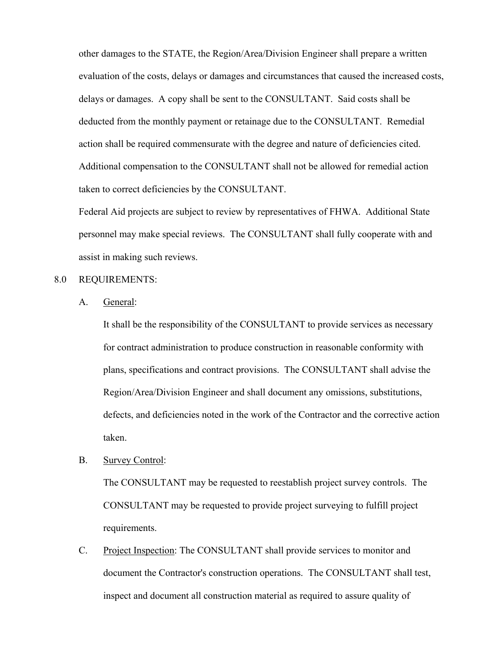other damages to the STATE, the Region/Area/Division Engineer shall prepare a written evaluation of the costs, delays or damages and circumstances that caused the increased costs, delays or damages. A copy shall be sent to the CONSULTANT. Said costs shall be deducted from the monthly payment or retainage due to the CONSULTANT. Remedial action shall be required commensurate with the degree and nature of deficiencies cited. Additional compensation to the CONSULTANT shall not be allowed for remedial action taken to correct deficiencies by the CONSULTANT.

Federal Aid projects are subject to review by representatives of FHWA. Additional State personnel may make special reviews. The CONSULTANT shall fully cooperate with and assist in making such reviews.

# 8.0 REQUIREMENTS:

A. General:

It shall be the responsibility of the CONSULTANT to provide services as necessary for contract administration to produce construction in reasonable conformity with plans, specifications and contract provisions. The CONSULTANT shall advise the Region/Area/Division Engineer and shall document any omissions, substitutions, defects, and deficiencies noted in the work of the Contractor and the corrective action taken.

B. Survey Control:

The CONSULTANT may be requested to reestablish project survey controls. The CONSULTANT may be requested to provide project surveying to fulfill project requirements.

 C. Project Inspection: The CONSULTANT shall provide services to monitor and document the Contractor's construction operations. The CONSULTANT shall test, inspect and document all construction material as required to assure quality of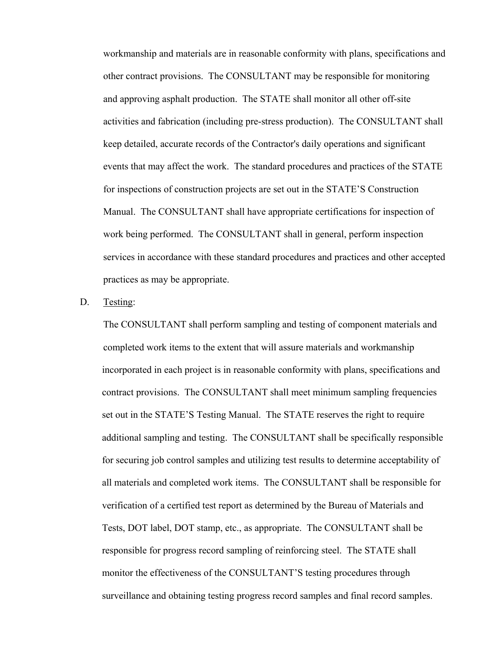workmanship and materials are in reasonable conformity with plans, specifications and other contract provisions. The CONSULTANT may be responsible for monitoring and approving asphalt production. The STATE shall monitor all other off-site activities and fabrication (including pre-stress production). The CONSULTANT shall keep detailed, accurate records of the Contractor's daily operations and significant events that may affect the work. The standard procedures and practices of the STATE for inspections of construction projects are set out in the STATE'S Construction Manual. The CONSULTANT shall have appropriate certifications for inspection of work being performed. The CONSULTANT shall in general, perform inspection services in accordance with these standard procedures and practices and other accepted practices as may be appropriate.

## D. Testing:

 The CONSULTANT shall perform sampling and testing of component materials and completed work items to the extent that will assure materials and workmanship incorporated in each project is in reasonable conformity with plans, specifications and contract provisions. The CONSULTANT shall meet minimum sampling frequencies set out in the STATE'S Testing Manual. The STATE reserves the right to require additional sampling and testing. The CONSULTANT shall be specifically responsible for securing job control samples and utilizing test results to determine acceptability of all materials and completed work items. The CONSULTANT shall be responsible for verification of a certified test report as determined by the Bureau of Materials and Tests, DOT label, DOT stamp, etc., as appropriate. The CONSULTANT shall be responsible for progress record sampling of reinforcing steel. The STATE shall monitor the effectiveness of the CONSULTANT'S testing procedures through surveillance and obtaining testing progress record samples and final record samples.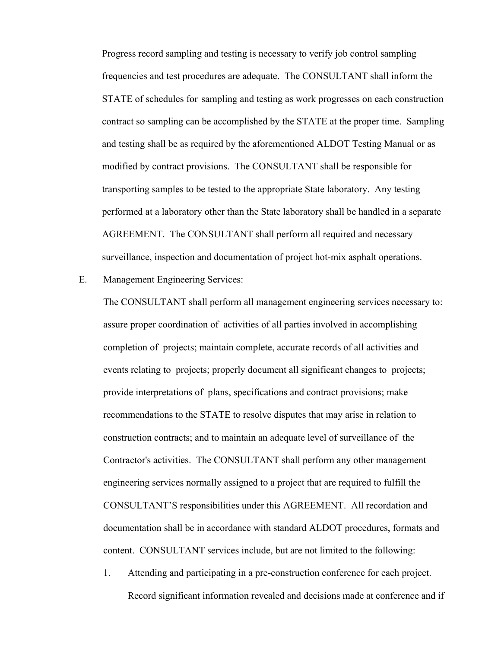Progress record sampling and testing is necessary to verify job control sampling frequencies and test procedures are adequate. The CONSULTANT shall inform the STATE of schedules for sampling and testing as work progresses on each construction contract so sampling can be accomplished by the STATE at the proper time. Sampling and testing shall be as required by the aforementioned ALDOT Testing Manual or as modified by contract provisions. The CONSULTANT shall be responsible for transporting samples to be tested to the appropriate State laboratory. Any testing performed at a laboratory other than the State laboratory shall be handled in a separate AGREEMENT. The CONSULTANT shall perform all required and necessary surveillance, inspection and documentation of project hot-mix asphalt operations.

## E. Management Engineering Services:

The CONSULTANT shall perform all management engineering services necessary to: assure proper coordination of activities of all parties involved in accomplishing completion of projects; maintain complete, accurate records of all activities and events relating to projects; properly document all significant changes to projects; provide interpretations of plans, specifications and contract provisions; make recommendations to the STATE to resolve disputes that may arise in relation to construction contracts; and to maintain an adequate level of surveillance of the Contractor's activities. The CONSULTANT shall perform any other management engineering services normally assigned to a project that are required to fulfill the CONSULTANT'S responsibilities under this AGREEMENT. All recordation and documentation shall be in accordance with standard ALDOT procedures, formats and content. CONSULTANT services include, but are not limited to the following:

 1. Attending and participating in a pre-construction conference for each project. Record significant information revealed and decisions made at conference and if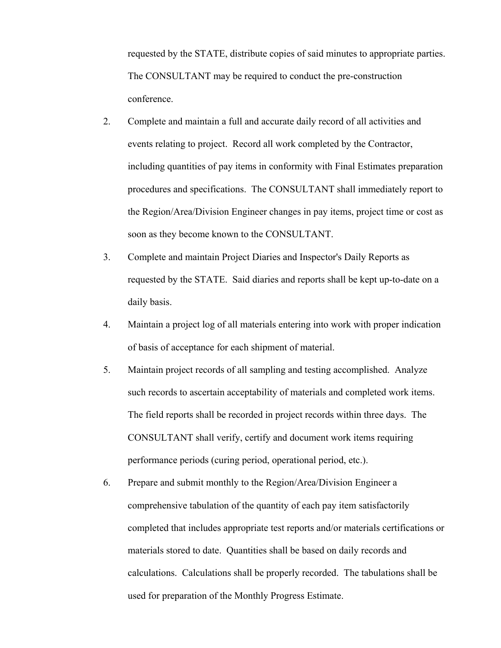requested by the STATE, distribute copies of said minutes to appropriate parties. The CONSULTANT may be required to conduct the pre-construction conference.

- 2. Complete and maintain a full and accurate daily record of all activities and events relating to project. Record all work completed by the Contractor, including quantities of pay items in conformity with Final Estimates preparation procedures and specifications. The CONSULTANT shall immediately report to the Region/Area/Division Engineer changes in pay items, project time or cost as soon as they become known to the CONSULTANT.
- 3. Complete and maintain Project Diaries and Inspector's Daily Reports as requested by the STATE. Said diaries and reports shall be kept up-to-date on a daily basis.
- 4. Maintain a project log of all materials entering into work with proper indication of basis of acceptance for each shipment of material.
- 5. Maintain project records of all sampling and testing accomplished. Analyze such records to ascertain acceptability of materials and completed work items. The field reports shall be recorded in project records within three days. The CONSULTANT shall verify, certify and document work items requiring performance periods (curing period, operational period, etc.).
- 6. Prepare and submit monthly to the Region/Area/Division Engineer a comprehensive tabulation of the quantity of each pay item satisfactorily completed that includes appropriate test reports and/or materials certifications or materials stored to date. Quantities shall be based on daily records and calculations. Calculations shall be properly recorded. The tabulations shall be used for preparation of the Monthly Progress Estimate.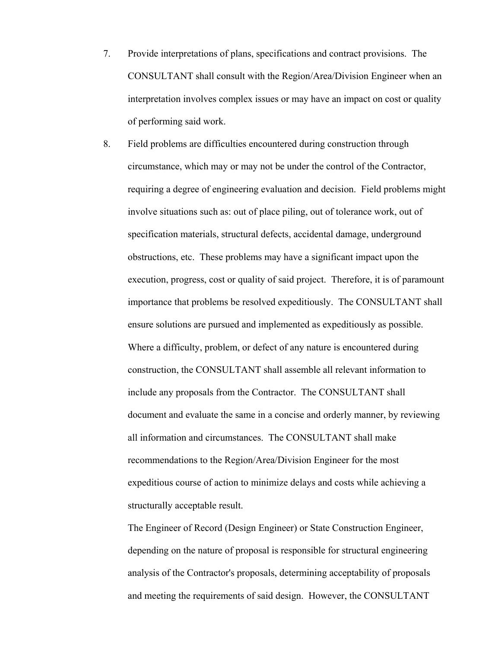- 7. Provide interpretations of plans, specifications and contract provisions. The CONSULTANT shall consult with the Region/Area/Division Engineer when an interpretation involves complex issues or may have an impact on cost or quality of performing said work.
- 8. Field problems are difficulties encountered during construction through circumstance, which may or may not be under the control of the Contractor, requiring a degree of engineering evaluation and decision. Field problems might involve situations such as: out of place piling, out of tolerance work, out of specification materials, structural defects, accidental damage, underground obstructions, etc. These problems may have a significant impact upon the execution, progress, cost or quality of said project. Therefore, it is of paramount importance that problems be resolved expeditiously. The CONSULTANT shall ensure solutions are pursued and implemented as expeditiously as possible. Where a difficulty, problem, or defect of any nature is encountered during construction, the CONSULTANT shall assemble all relevant information to include any proposals from the Contractor. The CONSULTANT shall document and evaluate the same in a concise and orderly manner, by reviewing all information and circumstances. The CONSULTANT shall make recommendations to the Region/Area/Division Engineer for the most expeditious course of action to minimize delays and costs while achieving a structurally acceptable result.

The Engineer of Record (Design Engineer) or State Construction Engineer, depending on the nature of proposal is responsible for structural engineering analysis of the Contractor's proposals, determining acceptability of proposals and meeting the requirements of said design. However, the CONSULTANT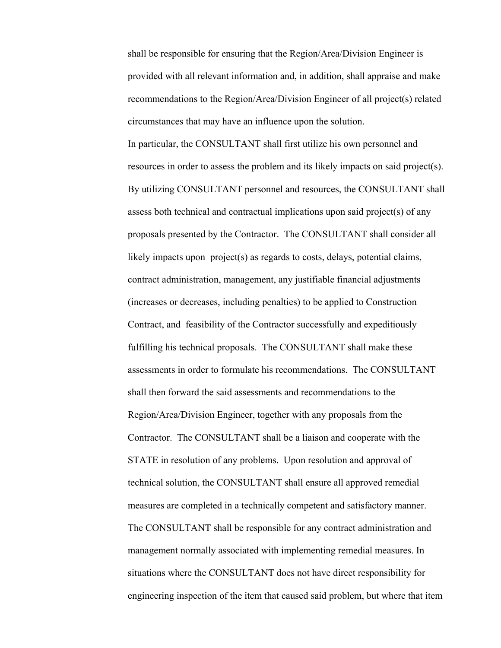shall be responsible for ensuring that the Region/Area/Division Engineer is provided with all relevant information and, in addition, shall appraise and make recommendations to the Region/Area/Division Engineer of all project(s) related circumstances that may have an influence upon the solution.

In particular, the CONSULTANT shall first utilize his own personnel and resources in order to assess the problem and its likely impacts on said project(s). By utilizing CONSULTANT personnel and resources, the CONSULTANT shall assess both technical and contractual implications upon said project(s) of any proposals presented by the Contractor. The CONSULTANT shall consider all likely impacts upon project(s) as regards to costs, delays, potential claims, contract administration, management, any justifiable financial adjustments (increases or decreases, including penalties) to be applied to Construction Contract, and feasibility of the Contractor successfully and expeditiously fulfilling his technical proposals. The CONSULTANT shall make these assessments in order to formulate his recommendations. The CONSULTANT shall then forward the said assessments and recommendations to the Region/Area/Division Engineer, together with any proposals from the Contractor. The CONSULTANT shall be a liaison and cooperate with the STATE in resolution of any problems. Upon resolution and approval of technical solution, the CONSULTANT shall ensure all approved remedial measures are completed in a technically competent and satisfactory manner. The CONSULTANT shall be responsible for any contract administration and management normally associated with implementing remedial measures. In situations where the CONSULTANT does not have direct responsibility for engineering inspection of the item that caused said problem, but where that item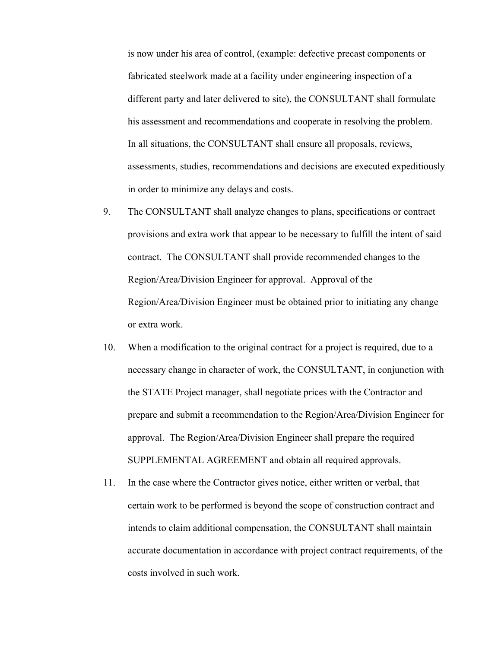is now under his area of control, (example: defective precast components or fabricated steelwork made at a facility under engineering inspection of a different party and later delivered to site), the CONSULTANT shall formulate his assessment and recommendations and cooperate in resolving the problem. In all situations, the CONSULTANT shall ensure all proposals, reviews, assessments, studies, recommendations and decisions are executed expeditiously in order to minimize any delays and costs.

- 9. The CONSULTANT shall analyze changes to plans, specifications or contract provisions and extra work that appear to be necessary to fulfill the intent of said contract. The CONSULTANT shall provide recommended changes to the Region/Area/Division Engineer for approval. Approval of the Region/Area/Division Engineer must be obtained prior to initiating any change or extra work.
- 10. When a modification to the original contract for a project is required, due to a necessary change in character of work, the CONSULTANT, in conjunction with the STATE Project manager, shall negotiate prices with the Contractor and prepare and submit a recommendation to the Region/Area/Division Engineer for approval. The Region/Area/Division Engineer shall prepare the required SUPPLEMENTAL AGREEMENT and obtain all required approvals.
- 11. In the case where the Contractor gives notice, either written or verbal, that certain work to be performed is beyond the scope of construction contract and intends to claim additional compensation, the CONSULTANT shall maintain accurate documentation in accordance with project contract requirements, of the costs involved in such work.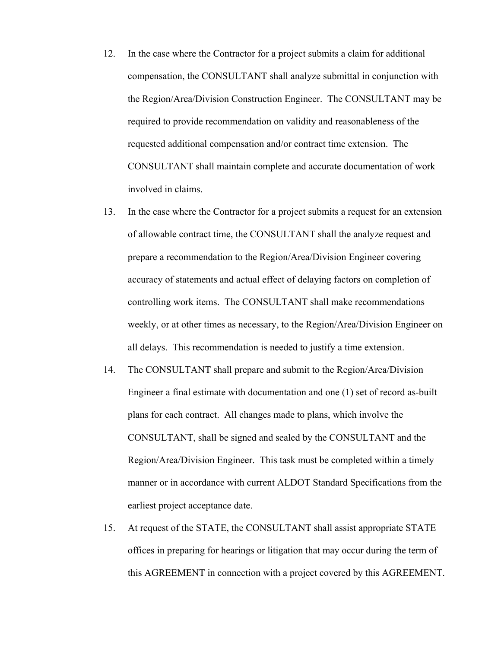- 12. In the case where the Contractor for a project submits a claim for additional compensation, the CONSULTANT shall analyze submittal in conjunction with the Region/Area/Division Construction Engineer. The CONSULTANT may be required to provide recommendation on validity and reasonableness of the requested additional compensation and/or contract time extension. The CONSULTANT shall maintain complete and accurate documentation of work involved in claims.
- 13. In the case where the Contractor for a project submits a request for an extension of allowable contract time, the CONSULTANT shall the analyze request and prepare a recommendation to the Region/Area/Division Engineer covering accuracy of statements and actual effect of delaying factors on completion of controlling work items. The CONSULTANT shall make recommendations weekly, or at other times as necessary, to the Region/Area/Division Engineer on all delays. This recommendation is needed to justify a time extension.
- 14. The CONSULTANT shall prepare and submit to the Region/Area/Division Engineer a final estimate with documentation and one (1) set of record as-built plans for each contract. All changes made to plans, which involve the CONSULTANT, shall be signed and sealed by the CONSULTANT and the Region/Area/Division Engineer. This task must be completed within a timely manner or in accordance with current ALDOT Standard Specifications from the earliest project acceptance date.
- 15. At request of the STATE, the CONSULTANT shall assist appropriate STATE offices in preparing for hearings or litigation that may occur during the term of this AGREEMENT in connection with a project covered by this AGREEMENT.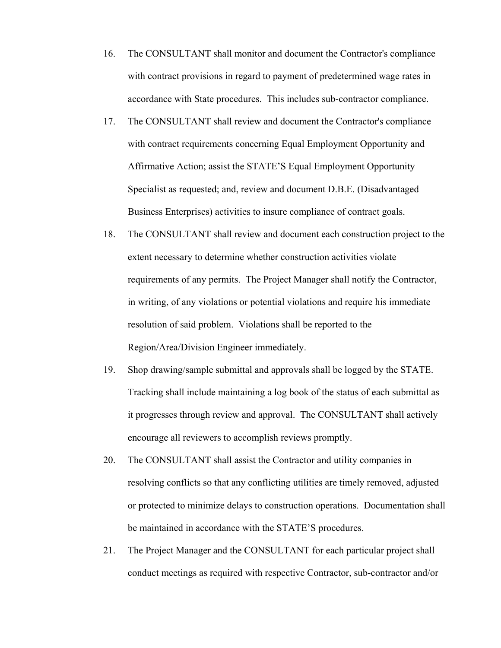- 16. The CONSULTANT shall monitor and document the Contractor's compliance with contract provisions in regard to payment of predetermined wage rates in accordance with State procedures. This includes sub-contractor compliance.
- 17. The CONSULTANT shall review and document the Contractor's compliance with contract requirements concerning Equal Employment Opportunity and Affirmative Action; assist the STATE'S Equal Employment Opportunity Specialist as requested; and, review and document D.B.E. (Disadvantaged Business Enterprises) activities to insure compliance of contract goals.
- 18. The CONSULTANT shall review and document each construction project to the extent necessary to determine whether construction activities violate requirements of any permits. The Project Manager shall notify the Contractor, in writing, of any violations or potential violations and require his immediate resolution of said problem. Violations shall be reported to the Region/Area/Division Engineer immediately.
- 19. Shop drawing/sample submittal and approvals shall be logged by the STATE. Tracking shall include maintaining a log book of the status of each submittal as it progresses through review and approval. The CONSULTANT shall actively encourage all reviewers to accomplish reviews promptly.
- 20. The CONSULTANT shall assist the Contractor and utility companies in resolving conflicts so that any conflicting utilities are timely removed, adjusted or protected to minimize delays to construction operations. Documentation shall be maintained in accordance with the STATE'S procedures.
- 21. The Project Manager and the CONSULTANT for each particular project shall conduct meetings as required with respective Contractor, sub-contractor and/or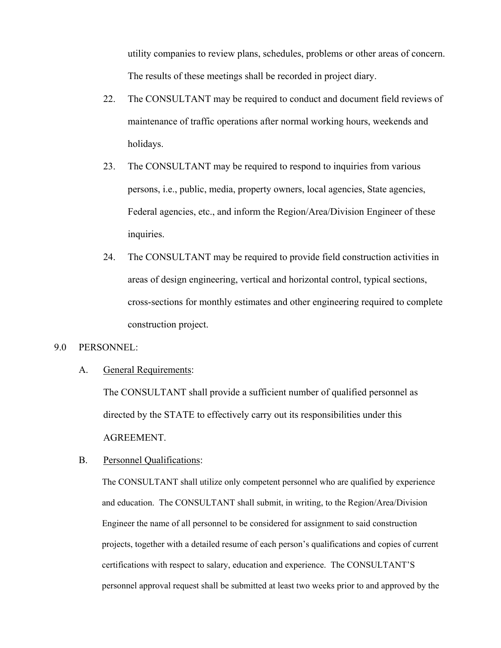utility companies to review plans, schedules, problems or other areas of concern. The results of these meetings shall be recorded in project diary.

- 22. The CONSULTANT may be required to conduct and document field reviews of maintenance of traffic operations after normal working hours, weekends and holidays.
- 23. The CONSULTANT may be required to respond to inquiries from various persons, i.e., public, media, property owners, local agencies, State agencies, Federal agencies, etc., and inform the Region/Area/Division Engineer of these inquiries.
- 24. The CONSULTANT may be required to provide field construction activities in areas of design engineering, vertical and horizontal control, typical sections, cross-sections for monthly estimates and other engineering required to complete construction project.

#### 9.0 PERSONNEL:

A. General Requirements:

The CONSULTANT shall provide a sufficient number of qualified personnel as directed by the STATE to effectively carry out its responsibilities under this AGREEMENT.

#### B. Personnel Qualifications:

The CONSULTANT shall utilize only competent personnel who are qualified by experience and education. The CONSULTANT shall submit, in writing, to the Region/Area/Division Engineer the name of all personnel to be considered for assignment to said construction projects, together with a detailed resume of each person's qualifications and copies of current certifications with respect to salary, education and experience. The CONSULTANT'S personnel approval request shall be submitted at least two weeks prior to and approved by the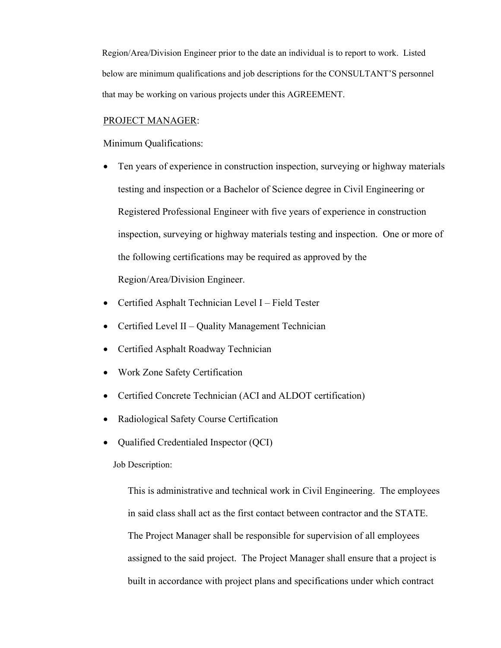Region/Area/Division Engineer prior to the date an individual is to report to work. Listed below are minimum qualifications and job descriptions for the CONSULTANT'S personnel that may be working on various projects under this AGREEMENT.

#### PROJECT MANAGER:

Minimum Qualifications:

- Ten years of experience in construction inspection, surveying or highway materials testing and inspection or a Bachelor of Science degree in Civil Engineering or Registered Professional Engineer with five years of experience in construction inspection, surveying or highway materials testing and inspection. One or more of the following certifications may be required as approved by the Region/Area/Division Engineer.
- Certified Asphalt Technician Level I Field Tester
- Certified Level II Quality Management Technician
- Certified Asphalt Roadway Technician
- Work Zone Safety Certification
- Certified Concrete Technician (ACI and ALDOT certification)
- Radiological Safety Course Certification
- Qualified Credentialed Inspector (QCI)

Job Description:

This is administrative and technical work in Civil Engineering. The employees in said class shall act as the first contact between contractor and the STATE. The Project Manager shall be responsible for supervision of all employees assigned to the said project. The Project Manager shall ensure that a project is built in accordance with project plans and specifications under which contract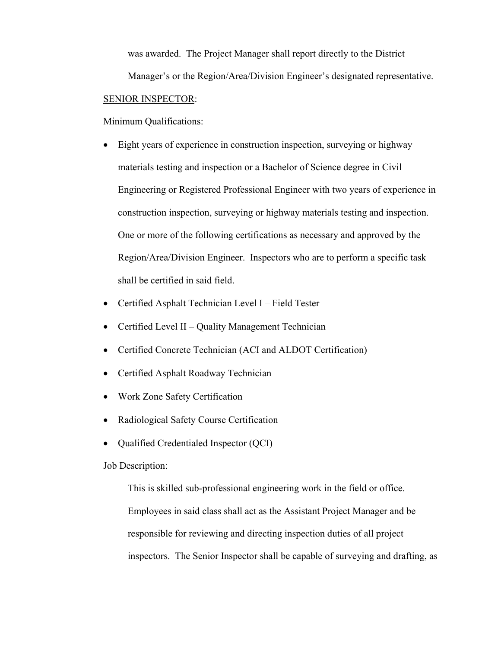was awarded. The Project Manager shall report directly to the District Manager's or the Region/Area/Division Engineer's designated representative. SENIOR INSPECTOR:

Minimum Qualifications:

- Eight years of experience in construction inspection, surveying or highway materials testing and inspection or a Bachelor of Science degree in Civil Engineering or Registered Professional Engineer with two years of experience in construction inspection, surveying or highway materials testing and inspection. One or more of the following certifications as necessary and approved by the Region/Area/Division Engineer. Inspectors who are to perform a specific task shall be certified in said field.
- Certified Asphalt Technician Level I Field Tester
- Certified Level II Quality Management Technician
- Certified Concrete Technician (ACI and ALDOT Certification)
- Certified Asphalt Roadway Technician
- Work Zone Safety Certification
- Radiological Safety Course Certification
- Oualified Credentialed Inspector (OCI)

Job Description:

This is skilled sub-professional engineering work in the field or office. Employees in said class shall act as the Assistant Project Manager and be responsible for reviewing and directing inspection duties of all project inspectors. The Senior Inspector shall be capable of surveying and drafting, as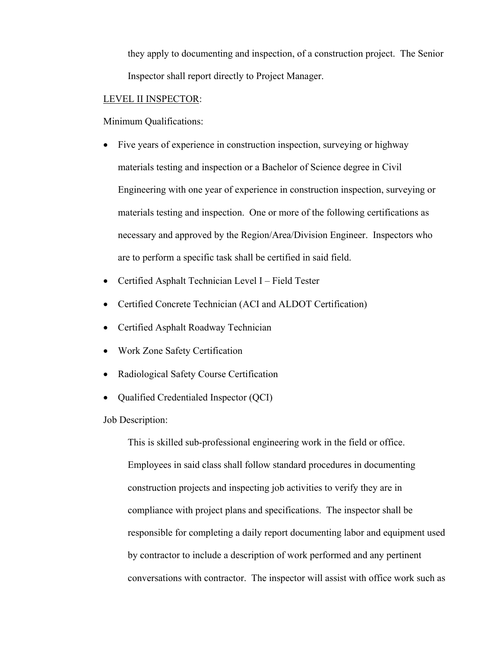they apply to documenting and inspection, of a construction project. The Senior Inspector shall report directly to Project Manager.

#### LEVEL II INSPECTOR:

Minimum Qualifications:

- Five years of experience in construction inspection, surveying or highway materials testing and inspection or a Bachelor of Science degree in Civil Engineering with one year of experience in construction inspection, surveying or materials testing and inspection. One or more of the following certifications as necessary and approved by the Region/Area/Division Engineer. Inspectors who are to perform a specific task shall be certified in said field.
- Certified Asphalt Technician Level I Field Tester
- Certified Concrete Technician (ACI and ALDOT Certification)
- Certified Asphalt Roadway Technician
- Work Zone Safety Certification
- Radiological Safety Course Certification
- Qualified Credentialed Inspector (QCI)

Job Description:

This is skilled sub-professional engineering work in the field or office. Employees in said class shall follow standard procedures in documenting construction projects and inspecting job activities to verify they are in compliance with project plans and specifications. The inspector shall be responsible for completing a daily report documenting labor and equipment used by contractor to include a description of work performed and any pertinent conversations with contractor. The inspector will assist with office work such as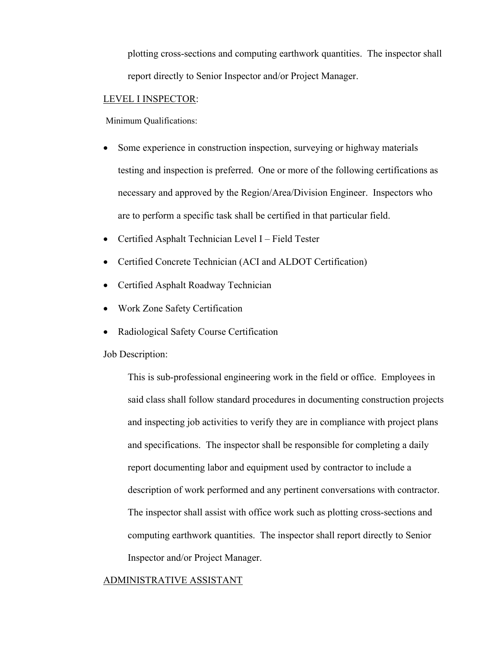plotting cross-sections and computing earthwork quantities. The inspector shall report directly to Senior Inspector and/or Project Manager.

#### LEVEL I INSPECTOR:

Minimum Qualifications:

- Some experience in construction inspection, surveying or highway materials testing and inspection is preferred. One or more of the following certifications as necessary and approved by the Region/Area/Division Engineer. Inspectors who are to perform a specific task shall be certified in that particular field.
- Certified Asphalt Technician Level I Field Tester
- Certified Concrete Technician (ACI and ALDOT Certification)
- Certified Asphalt Roadway Technician
- Work Zone Safety Certification
- Radiological Safety Course Certification

Job Description:

This is sub-professional engineering work in the field or office. Employees in said class shall follow standard procedures in documenting construction projects and inspecting job activities to verify they are in compliance with project plans and specifications. The inspector shall be responsible for completing a daily report documenting labor and equipment used by contractor to include a description of work performed and any pertinent conversations with contractor. The inspector shall assist with office work such as plotting cross-sections and computing earthwork quantities. The inspector shall report directly to Senior Inspector and/or Project Manager.

#### ADMINISTRATIVE ASSISTANT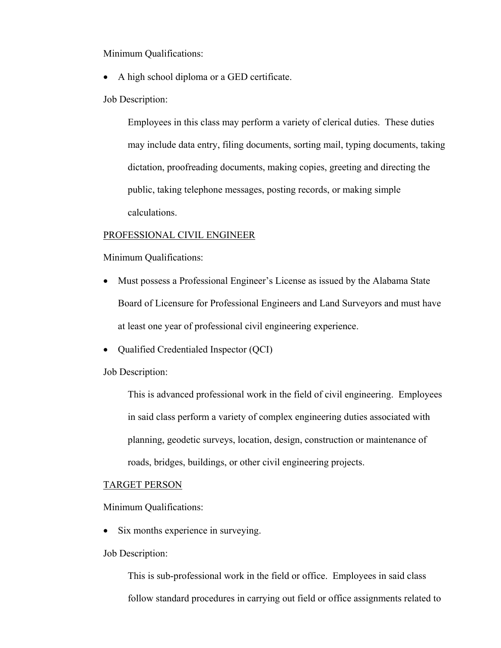Minimum Qualifications:

- A high school diploma or a GED certificate.
- Job Description:

Employees in this class may perform a variety of clerical duties. These duties may include data entry, filing documents, sorting mail, typing documents, taking dictation, proofreading documents, making copies, greeting and directing the public, taking telephone messages, posting records, or making simple calculations.

#### PROFESSIONAL CIVIL ENGINEER

Minimum Qualifications:

- Must possess a Professional Engineer's License as issued by the Alabama State Board of Licensure for Professional Engineers and Land Surveyors and must have at least one year of professional civil engineering experience.
- Oualified Credentialed Inspector (OCI)

Job Description:

This is advanced professional work in the field of civil engineering. Employees in said class perform a variety of complex engineering duties associated with planning, geodetic surveys, location, design, construction or maintenance of roads, bridges, buildings, or other civil engineering projects.

#### TARGET PERSON

Minimum Qualifications:

- Six months experience in surveying.
- Job Description:

This is sub-professional work in the field or office. Employees in said class follow standard procedures in carrying out field or office assignments related to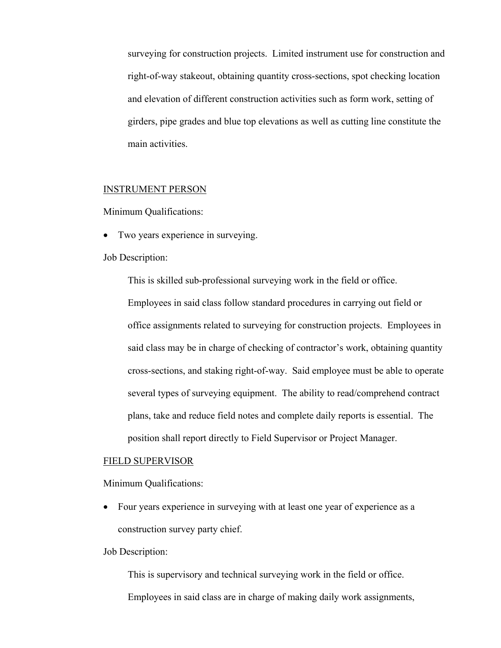surveying for construction projects. Limited instrument use for construction and right-of-way stakeout, obtaining quantity cross-sections, spot checking location and elevation of different construction activities such as form work, setting of girders, pipe grades and blue top elevations as well as cutting line constitute the main activities.

# INSTRUMENT PERSON

Minimum Qualifications:

• Two years experience in surveying.

#### Job Description:

This is skilled sub-professional surveying work in the field or office. Employees in said class follow standard procedures in carrying out field or office assignments related to surveying for construction projects. Employees in said class may be in charge of checking of contractor's work, obtaining quantity cross-sections, and staking right-of-way. Said employee must be able to operate several types of surveying equipment. The ability to read/comprehend contract plans, take and reduce field notes and complete daily reports is essential. The position shall report directly to Field Supervisor or Project Manager.

#### FIELD SUPERVISOR

Minimum Qualifications:

 Four years experience in surveying with at least one year of experience as a construction survey party chief.

#### Job Description:

This is supervisory and technical surveying work in the field or office. Employees in said class are in charge of making daily work assignments,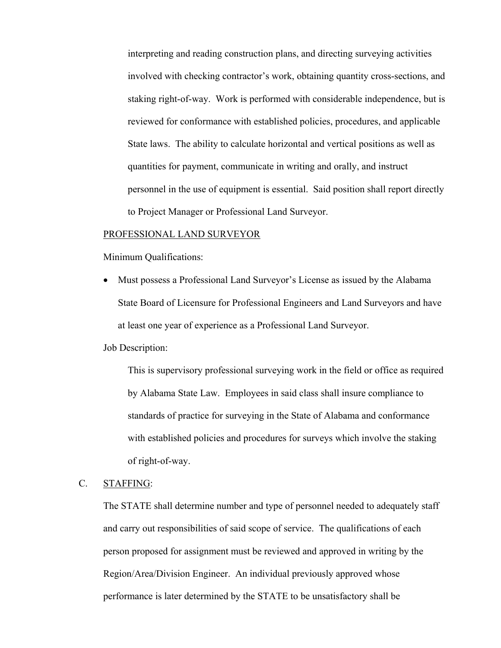interpreting and reading construction plans, and directing surveying activities involved with checking contractor's work, obtaining quantity cross-sections, and staking right-of-way. Work is performed with considerable independence, but is reviewed for conformance with established policies, procedures, and applicable State laws. The ability to calculate horizontal and vertical positions as well as quantities for payment, communicate in writing and orally, and instruct personnel in the use of equipment is essential. Said position shall report directly to Project Manager or Professional Land Surveyor.

#### PROFESSIONAL LAND SURVEYOR

Minimum Qualifications:

 Must possess a Professional Land Surveyor's License as issued by the Alabama State Board of Licensure for Professional Engineers and Land Surveyors and have at least one year of experience as a Professional Land Surveyor.

Job Description:

This is supervisory professional surveying work in the field or office as required by Alabama State Law. Employees in said class shall insure compliance to standards of practice for surveying in the State of Alabama and conformance with established policies and procedures for surveys which involve the staking of right-of-way.

# C. STAFFING:

The STATE shall determine number and type of personnel needed to adequately staff and carry out responsibilities of said scope of service. The qualifications of each person proposed for assignment must be reviewed and approved in writing by the Region/Area/Division Engineer. An individual previously approved whose performance is later determined by the STATE to be unsatisfactory shall be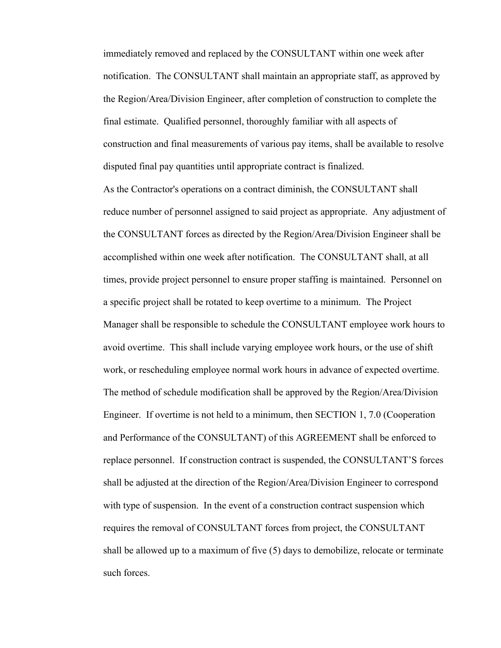immediately removed and replaced by the CONSULTANT within one week after notification. The CONSULTANT shall maintain an appropriate staff, as approved by the Region/Area/Division Engineer, after completion of construction to complete the final estimate. Qualified personnel, thoroughly familiar with all aspects of construction and final measurements of various pay items, shall be available to resolve disputed final pay quantities until appropriate contract is finalized.

As the Contractor's operations on a contract diminish, the CONSULTANT shall reduce number of personnel assigned to said project as appropriate. Any adjustment of the CONSULTANT forces as directed by the Region/Area/Division Engineer shall be accomplished within one week after notification. The CONSULTANT shall, at all times, provide project personnel to ensure proper staffing is maintained. Personnel on a specific project shall be rotated to keep overtime to a minimum. The Project Manager shall be responsible to schedule the CONSULTANT employee work hours to avoid overtime. This shall include varying employee work hours, or the use of shift work, or rescheduling employee normal work hours in advance of expected overtime. The method of schedule modification shall be approved by the Region/Area/Division Engineer. If overtime is not held to a minimum, then SECTION 1, 7.0 (Cooperation and Performance of the CONSULTANT) of this AGREEMENT shall be enforced to replace personnel. If construction contract is suspended, the CONSULTANT'S forces shall be adjusted at the direction of the Region/Area/Division Engineer to correspond with type of suspension. In the event of a construction contract suspension which requires the removal of CONSULTANT forces from project, the CONSULTANT shall be allowed up to a maximum of five (5) days to demobilize, relocate or terminate such forces.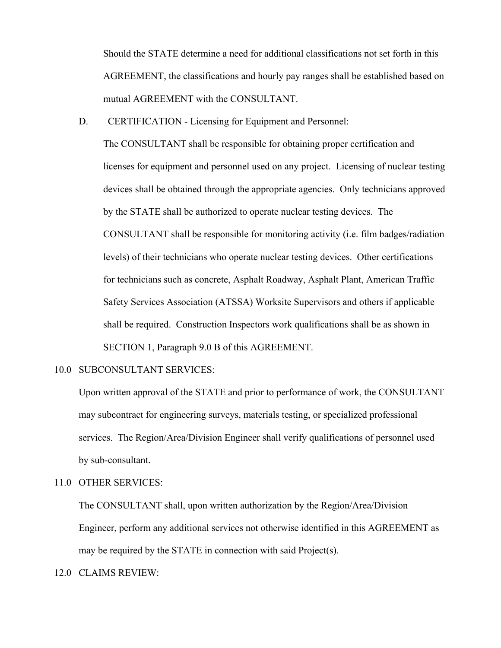Should the STATE determine a need for additional classifications not set forth in this AGREEMENT, the classifications and hourly pay ranges shall be established based on mutual AGREEMENT with the CONSULTANT.

#### D. CERTIFICATION - Licensing for Equipment and Personnel:

The CONSULTANT shall be responsible for obtaining proper certification and licenses for equipment and personnel used on any project. Licensing of nuclear testing devices shall be obtained through the appropriate agencies. Only technicians approved by the STATE shall be authorized to operate nuclear testing devices. The CONSULTANT shall be responsible for monitoring activity (i.e. film badges/radiation levels) of their technicians who operate nuclear testing devices. Other certifications for technicians such as concrete, Asphalt Roadway, Asphalt Plant, American Traffic Safety Services Association (ATSSA) Worksite Supervisors and others if applicable shall be required. Construction Inspectors work qualifications shall be as shown in SECTION 1, Paragraph 9.0 B of this AGREEMENT.

# 10.0 SUBCONSULTANT SERVICES:

Upon written approval of the STATE and prior to performance of work, the CONSULTANT may subcontract for engineering surveys, materials testing, or specialized professional services. The Region/Area/Division Engineer shall verify qualifications of personnel used by sub-consultant.

## 11.0 OTHER SERVICES:

The CONSULTANT shall, upon written authorization by the Region/Area/Division Engineer, perform any additional services not otherwise identified in this AGREEMENT as may be required by the STATE in connection with said Project(s).

12.0 CLAIMS REVIEW: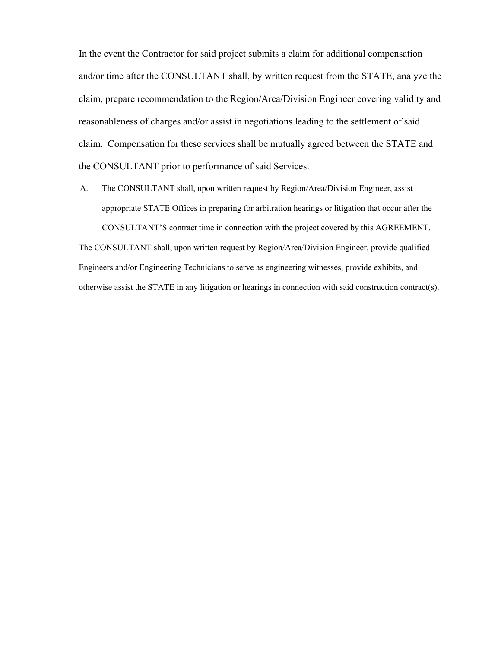In the event the Contractor for said project submits a claim for additional compensation and/or time after the CONSULTANT shall, by written request from the STATE, analyze the claim, prepare recommendation to the Region/Area/Division Engineer covering validity and reasonableness of charges and/or assist in negotiations leading to the settlement of said claim. Compensation for these services shall be mutually agreed between the STATE and the CONSULTANT prior to performance of said Services.

A. The CONSULTANT shall, upon written request by Region/Area/Division Engineer, assist appropriate STATE Offices in preparing for arbitration hearings or litigation that occur after the CONSULTANT'S contract time in connection with the project covered by this AGREEMENT.

The CONSULTANT shall, upon written request by Region/Area/Division Engineer, provide qualified Engineers and/or Engineering Technicians to serve as engineering witnesses, provide exhibits, and otherwise assist the STATE in any litigation or hearings in connection with said construction contract(s).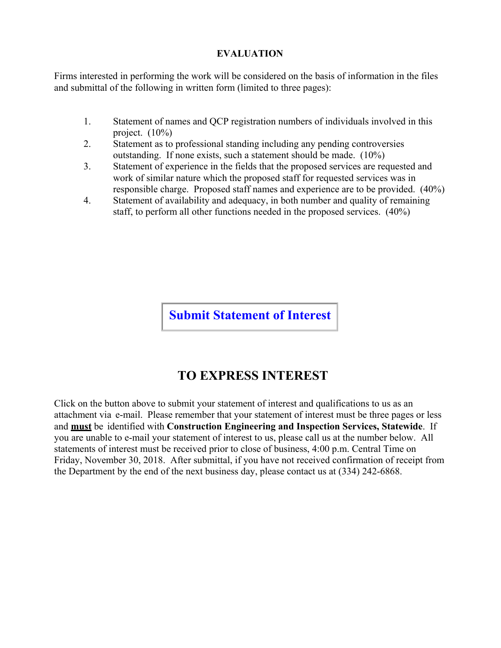# **EVALUATION**

Firms interested in performing the work will be considered on the basis of information in the files and submittal of the following in written form (limited to three pages):

- 1. Statement of names and QCP registration numbers of individuals involved in this project. (10%)
- 2. Statement as to professional standing including any pending controversies outstanding. If none exists, such a statement should be made. (10%)
- 3. Statement of experience in the fields that the proposed services are requested and work of similar nature which the proposed staff for requested services was in responsible charge. Proposed staff names and experience are to be provided. (40%)
- 4. Statement of availability and adequacy, in both number and quality of remaining staff, to perform all other functions needed in the proposed services. (40%)

**Submit Statement of Interest** 

# **TO EXPRESS INTEREST**

Click on the button above to submit your statement of interest and qualifications to us as an attachment via e-mail. Please remember that your statement of interest must be three pages or less and **must** be identified with **Construction Engineering and Inspection Services, Statewide**. If you are unable to e-mail your statement of interest to us, please call us at the number below. All statements of interest must be received prior to close of business, 4:00 p.m. Central Time on Friday, November 30, 2018. After submittal, if you have not received confirmation of receipt from the Department by the end of the next business day, please contact us at (334) 242-6868.